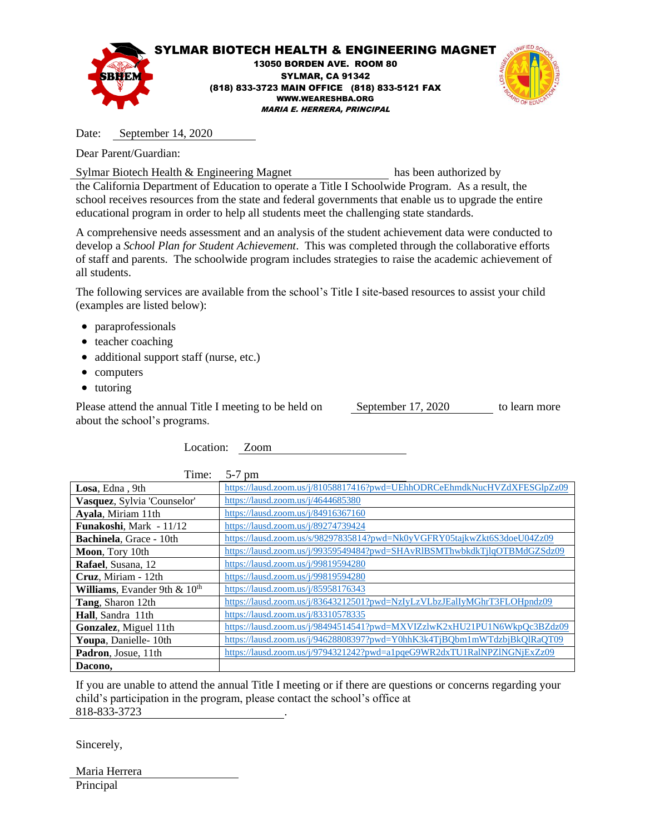

Date: September 14, 2020

Dear Parent/Guardian:

Sylmar Biotech Health & Engineering Magnet has been authorized by

the California Department of Education to operate a Title I Schoolwide Program. As a result, the school receives resources from the state and federal governments that enable us to upgrade the entire educational program in order to help all students meet the challenging state standards.

A comprehensive needs assessment and an analysis of the student achievement data were conducted to develop a *School Plan for Student Achievement*. This was completed through the collaborative efforts of staff and parents. The schoolwide program includes strategies to raise the academic achievement of all students.

The following services are available from the school's Title I site-based resources to assist your child (examples are listed below):

- paraprofessionals
- teacher coaching
- additional support staff (nurse, etc.)
- computers
- tutoring

Please attend the annual Title I meeting to be held on September 17, 2020 to learn more about the school's programs.

Location: Zoom

| Time:                          | $5-7$ pm                                                                 |
|--------------------------------|--------------------------------------------------------------------------|
| Losa, Edna, 9th                | https://lausd.zoom.us/j/81058817416?pwd=UEhhODRCeEhmdkNucHVZdXFESGlpZz09 |
| Vasquez, Sylvia 'Counselor'    | https://lausd.zoom.us/ $i$ /4644685380                                   |
| Ayala, Miriam 11th             | https://lausd.zoom.us/j/84916367160                                      |
| <b>Funakoshi, Mark - 11/12</b> | https://lausd.zoom.us/j/89274739424                                      |
| Bachinela, Grace - 10th        | https://lausd.zoom.us/s/98297835814?pwd=Nk0yVGFRY05tajkwZkt6S3doeU04Zz09 |
| Moon, Tory 10th                | https://lausd.zoom.us/j/99359549484?pwd=SHAvRIBSMThwbkdkTjlqOTBMdGZSdz09 |
| Rafael, Susana, 12             | https://lausd.zoom.us/j/99819594280                                      |
| Cruz, Miriam - 12th            | https://lausd.zoom.us/j/99819594280                                      |
| Williams, Evander 9th $& 10th$ | https://lausd.zoom.us/j/85958176343                                      |
| Tang, Sharon 12th              | https://lausd.zoom.us/j/83643212501?pwd=NzIyLzVLbzJEalIyMGhrT3FLOHpndz09 |
| Hall, Sandra 11th              | https://lausd.zoom.us/j/83310578335                                      |
| Gonzalez, Miguel 11th          | https://lausd.zoom.us/j/98494514541?pwd=MXVIZzlwK2xHU21PU1N6WkpQc3BZdz09 |
| Youpa, Danielle-10th           | https://lausd.zoom.us/j/94628808397?pwd=Y0hhK3k4TjBQbm1mWTdzbjBkQlRaQT09 |
| Padron, Josue, 11th            | https://lausd.zoom.us/j/9794321242?pwd=a1pqeG9WR2dxTU1RalNPZlNGNjExZz09  |
| Dacono,                        |                                                                          |

If you are unable to attend the annual Title I meeting or if there are questions or concerns regarding your child's participation in the program, please contact the school's office at 818-833-3723 .

Sincerely,

| Maria Herrera |  |
|---------------|--|
| Principal     |  |